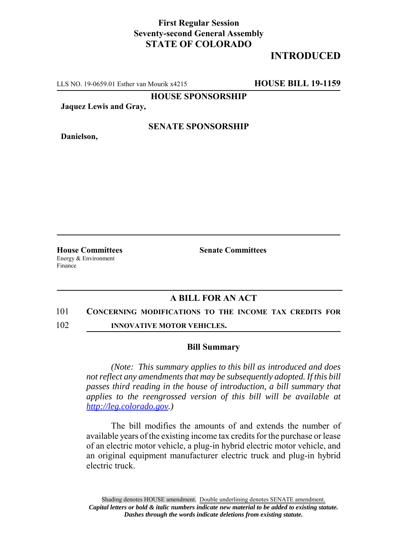## **First Regular Session Seventy-second General Assembly STATE OF COLORADO**

# **INTRODUCED**

LLS NO. 19-0659.01 Esther van Mourik x4215 **HOUSE BILL 19-1159**

**HOUSE SPONSORSHIP**

**Jaquez Lewis and Gray,**

**Danielson,**

### **SENATE SPONSORSHIP**

Energy & Environment Finance

**House Committees Senate Committees** 

## **A BILL FOR AN ACT**

#### 101 **CONCERNING MODIFICATIONS TO THE INCOME TAX CREDITS FOR**

102 **INNOVATIVE MOTOR VEHICLES.** 

#### **Bill Summary**

*(Note: This summary applies to this bill as introduced and does not reflect any amendments that may be subsequently adopted. If this bill passes third reading in the house of introduction, a bill summary that applies to the reengrossed version of this bill will be available at http://leg.colorado.gov.)*

The bill modifies the amounts of and extends the number of available years of the existing income tax credits for the purchase or lease of an electric motor vehicle, a plug-in hybrid electric motor vehicle, and an original equipment manufacturer electric truck and plug-in hybrid electric truck.

Shading denotes HOUSE amendment. Double underlining denotes SENATE amendment. *Capital letters or bold & italic numbers indicate new material to be added to existing statute. Dashes through the words indicate deletions from existing statute.*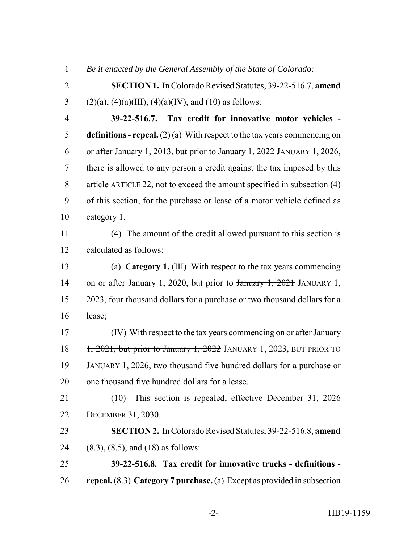*Be it enacted by the General Assembly of the State of Colorado:* **SECTION 1.** In Colorado Revised Statutes, 39-22-516.7, **amend** 3 (2)(a), (4)(a)(III), (4)(a)(IV), and (10) as follows: **39-22-516.7. Tax credit for innovative motor vehicles - definitions - repeal.** (2) (a) With respect to the tax years commencing on 6 or after January 1, 2013, but prior to  $\frac{1}{2022}$  JANUARY 1, 2026, there is allowed to any person a credit against the tax imposed by this 8 article ARTICLE 22, not to exceed the amount specified in subsection (4) of this section, for the purchase or lease of a motor vehicle defined as category 1. (4) The amount of the credit allowed pursuant to this section is calculated as follows: (a) **Category 1.** (III) With respect to the tax years commencing 14 on or after January 1, 2020, but prior to <del>January 1, 2021</del> JANUARY 1, 15 2023, four thousand dollars for a purchase or two thousand dollars for a lease; (IV) With respect to the tax years commencing on or after January 18 1, 2021, but prior to January 1, 2022 JANUARY 1, 2023, BUT PRIOR TO JANUARY 1, 2026, two thousand five hundred dollars for a purchase or one thousand five hundred dollars for a lease. 21 (10) This section is repealed, effective December 31, 2026 DECEMBER 31, 2030. **SECTION 2.** In Colorado Revised Statutes, 39-22-516.8, **amend** (8.3), (8.5), and (18) as follows: **39-22-516.8. Tax credit for innovative trucks - definitions - repeal.** (8.3) **Category 7 purchase.** (a) Except as provided in subsection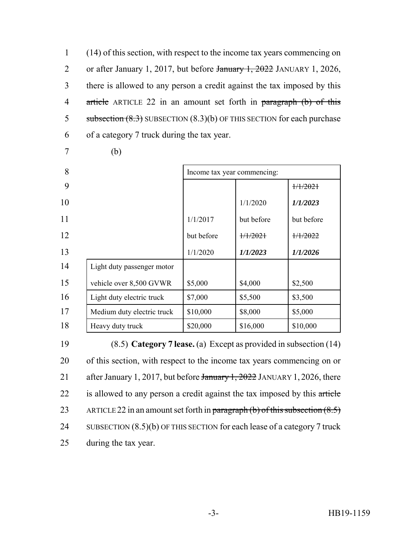1 (14) of this section, with respect to the income tax years commencing on 2 or after January 1, 2017, but before January 1, 2022 JANUARY 1, 2026, 3 there is allowed to any person a credit against the tax imposed by this 4 article ARTICLE 22 in an amount set forth in paragraph (b) of this 5 subsection (8.3) SUBSECTION (8.3)(b) OF THIS SECTION for each purchase 6 of a category 7 truck during the tax year.

7 (b)

| 8  |                            | Income tax year commencing: |                    |                    |
|----|----------------------------|-----------------------------|--------------------|--------------------|
| 9  |                            |                             |                    | $+\frac{1}{12021}$ |
| 10 |                            |                             | 1/1/2020           | 1/1/2023           |
| 11 |                            | 1/1/2017                    | but before         | but before         |
| 12 |                            | but before                  | $+\frac{1}{12021}$ | 1/1/2022           |
| 13 |                            | 1/1/2020                    | 1/1/2023           | 1/1/2026           |
| 14 | Light duty passenger motor |                             |                    |                    |
| 15 | vehicle over 8,500 GVWR    | \$5,000                     | \$4,000            | \$2,500            |
| 16 | Light duty electric truck  | \$7,000                     | \$5,500            | \$3,500            |
| 17 | Medium duty electric truck | \$10,000                    | \$8,000            | \$5,000            |
| 18 | Heavy duty truck           | \$20,000                    | \$16,000           | \$10,000           |

19 (8.5) **Category 7 lease.** (a) Except as provided in subsection (14) 20 of this section, with respect to the income tax years commencing on or 21 after January 1, 2017, but before January 1, 2022 JANUARY 1, 2026, there 22 is allowed to any person a credit against the tax imposed by this article 23 ARTICLE 22 in an amount set forth in paragraph  $(b)$  of this subsection  $(8.5)$ 24 SUBSECTION (8.5)(b) OF THIS SECTION for each lease of a category 7 truck 25 during the tax year.